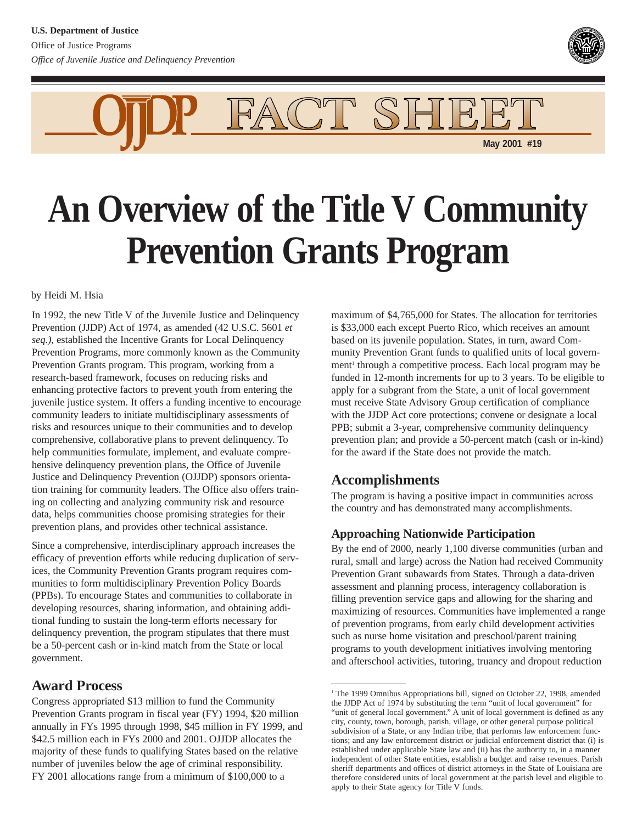



# **An Overview of the Title V Community Prevention Grants Program**

by Heidi M. Hsia

In 1992, the new Title V of the Juvenile Justice and Delinquency Prevention (JJDP) Act of 1974, as amended (42 U.S.C. 5601 *et seq.)*, established the Incentive Grants for Local Delinquency Prevention Programs, more commonly known as the Community Prevention Grants program. This program, working from a research-based framework, focuses on reducing risks and enhancing protective factors to prevent youth from entering the juvenile justice system. It offers a funding incentive to encourage community leaders to initiate multidisciplinary assessments of risks and resources unique to their communities and to develop comprehensive, collaborative plans to prevent delinquency. To help communities formulate, implement, and evaluate comprehensive delinquency prevention plans, the Office of Juvenile Justice and Delinquency Prevention (OJJDP) sponsors orientation training for community leaders. The Office also offers training on collecting and analyzing community risk and resource data, helps communities choose promising strategies for their prevention plans, and provides other technical assistance.

Since a comprehensive, interdisciplinary approach increases the efficacy of prevention efforts while reducing duplication of services, the Community Prevention Grants program requires communities to form multidisciplinary Prevention Policy Boards (PPBs). To encourage States and communities to collaborate in developing resources, sharing information, and obtaining additional funding to sustain the long-term efforts necessary for delinquency prevention, the program stipulates that there must be a 50-percent cash or in-kind match from the State or local government.

### **Award Process**

Congress appropriated \$13 million to fund the Community Prevention Grants program in fiscal year (FY) 1994, \$20 million annually in FYs 1995 through 1998, \$45 million in FY 1999, and \$42.5 million each in FYs 2000 and 2001. OJJDP allocates the majority of these funds to qualifying States based on the relative number of juveniles below the age of criminal responsibility. FY 2001 allocations range from a minimum of \$100,000 to a

maximum of \$4,765,000 for States. The allocation for territories is \$33,000 each except Puerto Rico, which receives an amount based on its juvenile population. States, in turn, award Community Prevention Grant funds to qualified units of local government<sup>1</sup> through a competitive process. Each local program may be funded in 12-month increments for up to 3 years. To be eligible to apply for a subgrant from the State, a unit of local government must receive State Advisory Group certification of compliance with the JJDP Act core protections; convene or designate a local PPB; submit a 3-year, comprehensive community delinquency prevention plan; and provide a 50-percent match (cash or in-kind) for the award if the State does not provide the match.

## **Accomplishments**

The program is having a positive impact in communities across the country and has demonstrated many accomplishments.

#### **Approaching Nationwide Participation**

By the end of 2000, nearly 1,100 diverse communities (urban and rural, small and large) across the Nation had received Community Prevention Grant subawards from States. Through a data-driven assessment and planning process, interagency collaboration is filling prevention service gaps and allowing for the sharing and maximizing of resources. Communities have implemented a range of prevention programs, from early child development activities such as nurse home visitation and preschool/parent training programs to youth development initiatives involving mentoring and afterschool activities, tutoring, truancy and dropout reduction

<sup>&</sup>lt;sup>1</sup> The 1999 Omnibus Appropriations bill, signed on October 22, 1998, amended the JJDP Act of 1974 by substituting the term "unit of local government" for "unit of general local government." A unit of local government is defined as any city, county, town, borough, parish, village, or other general purpose political subdivision of a State, or any Indian tribe, that performs law enforcement functions; and any law enforcement district or judicial enforcement district that (i) is established under applicable State law and (ii) has the authority to, in a manner independent of other State entities, establish a budget and raise revenues. Parish sheriff departments and offices of district attorneys in the State of Louisiana are therefore considered units of local government at the parish level and eligible to apply to their State agency for Title V funds.